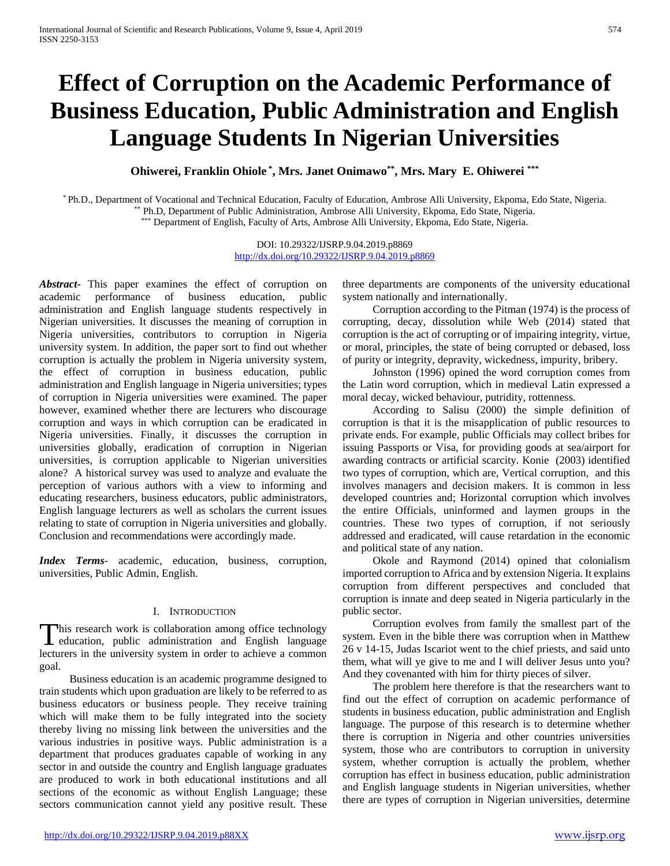# **Effect of Corruption on the Academic Performance of Business Education, Public Administration and English Language Students In Nigerian Universities**

**Ohiwerei, Franklin Ohiole \* , Mrs. Janet Onimawo\*\*, Mrs. Mary E. Ohiwerei \*\*\***

\* Ph.D., Department of Vocational and Technical Education, Faculty of Education, Ambrose Alli University, Ekpoma, Edo State, Nigeria. \*\* Ph.D, Department of Public Administration, Ambrose Alli University, Ekpoma, Edo State, Nigeria. \*\*\* Department of English, Faculty of Arts, Ambrose Alli University, Ekpoma, Edo State, Nigeria.

> DOI: 10.29322/IJSRP.9.04.2019.p8869 [http://dx.doi.org/10.29322/IJSRP.9.04.2019.p8869](http://dx.doi.org/10.29322/IJSRP.9.03.2019.p8869)

*Abstract***-** This paper examines the effect of corruption on academic performance of business education, public administration and English language students respectively in Nigerian universities. It discusses the meaning of corruption in Nigeria universities, contributors to corruption in Nigeria university system. In addition, the paper sort to find out whether corruption is actually the problem in Nigeria university system, the effect of corruption in business education, public administration and English language in Nigeria universities; types of corruption in Nigeria universities were examined. The paper however, examined whether there are lecturers who discourage corruption and ways in which corruption can be eradicated in Nigeria universities. Finally, it discusses the corruption in universities globally, eradication of corruption in Nigerian universities, is corruption applicable to Nigerian universities alone? A historical survey was used to analyze and evaluate the perception of various authors with a view to informing and educating researchers, business educators, public administrators, English language lecturers as well as scholars the current issues relating to state of corruption in Nigeria universities and globally. Conclusion and recommendations were accordingly made.

*Index Terms*- academic, education, business, corruption, universities, Public Admin, English.

## I. INTRODUCTION

**This research work is collaboration among office technology** This research work is collaboration among office technology<br>education, public administration and English language lecturers in the university system in order to achieve a common goal.

Business education is an academic programme designed to train students which upon graduation are likely to be referred to as business educators or business people. They receive training which will make them to be fully integrated into the society thereby living no missing link between the universities and the various industries in positive ways. Public administration is a department that produces graduates capable of working in any sector in and outside the country and English language graduates are produced to work in both educational institutions and all sections of the economic as without English Language; these sectors communication cannot yield any positive result. These

three departments are components of the university educational system nationally and internationally.

Corruption according to the Pitman (1974) is the process of corrupting, decay, dissolution while Web (2014) stated that corruption is the act of corrupting or of impairing integrity, virtue, or moral, principles, the state of being corrupted or debased, loss of purity or integrity, depravity, wickedness, impurity, bribery.

Johnston (1996) opined the word corruption comes from the Latin word corruption, which in medieval Latin expressed a moral decay, wicked behaviour, putridity, rottenness.

According to Salisu (2000) the simple definition of corruption is that it is the misapplication of public resources to private ends. For example, public Officials may collect bribes for issuing Passports or Visa, for providing goods at sea/airport for awarding contracts or artificial scarcity. Konie (2003) identified two types of corruption, which are, Vertical corruption, and this involves managers and decision makers. It is common in less developed countries and; Horizontal corruption which involves the entire Officials, uninformed and laymen groups in the countries. These two types of corruption, if not seriously addressed and eradicated, will cause retardation in the economic and political state of any nation.

Okole and Raymond (2014) opined that colonialism imported corruption to Africa and by extension Nigeria. It explains corruption from different perspectives and concluded that corruption is innate and deep seated in Nigeria particularly in the public sector.

Corruption evolves from family the smallest part of the system. Even in the bible there was corruption when in Matthew 26 v 14-15, Judas Iscariot went to the chief priests, and said unto them, what will ye give to me and I will deliver Jesus unto you? And they covenanted with him for thirty pieces of silver.

The problem here therefore is that the researchers want to find out the effect of corruption on academic performance of students in business education, public administration and English language. The purpose of this research is to determine whether there is corruption in Nigeria and other countries universities system, those who are contributors to corruption in university system, whether corruption is actually the problem, whether corruption has effect in business education, public administration and English language students in Nigerian universities, whether there are types of corruption in Nigerian universities, determine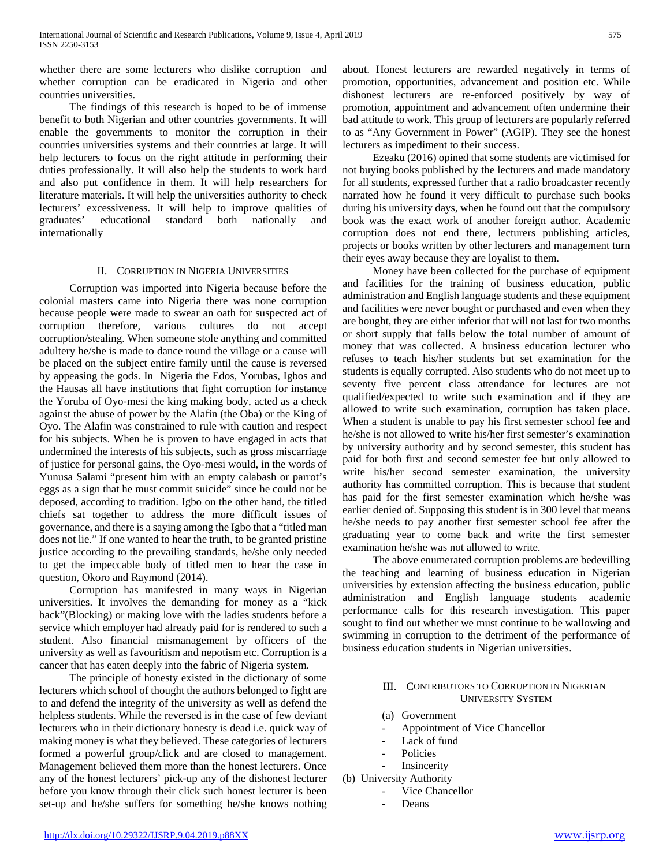whether there are some lecturers who dislike corruption and whether corruption can be eradicated in Nigeria and other countries universities.

The findings of this research is hoped to be of immense benefit to both Nigerian and other countries governments. It will enable the governments to monitor the corruption in their countries universities systems and their countries at large. It will help lecturers to focus on the right attitude in performing their duties professionally. It will also help the students to work hard and also put confidence in them. It will help researchers for literature materials. It will help the universities authority to check lecturers' excessiveness. It will help to improve qualities of graduates' educational standard both nationally and internationally

## II. CORRUPTION IN NIGERIA UNIVERSITIES

Corruption was imported into Nigeria because before the colonial masters came into Nigeria there was none corruption because people were made to swear an oath for suspected act of corruption therefore, various cultures do not accept corruption/stealing. When someone stole anything and committed adultery he/she is made to dance round the village or a cause will be placed on the subject entire family until the cause is reversed by appeasing the gods. In Nigeria the Edos, Yorubas, Igbos and the Hausas all have institutions that fight corruption for instance the Yoruba of Oyo-mesi the king making body, acted as a check against the abuse of power by the Alafin (the Oba) or the King of Oyo. The Alafin was constrained to rule with caution and respect for his subjects. When he is proven to have engaged in acts that undermined the interests of his subjects, such as gross miscarriage of justice for personal gains, the Oyo-mesi would, in the words of Yunusa Salami "present him with an empty calabash or parrot's eggs as a sign that he must commit suicide" since he could not be deposed, according to tradition. Igbo on the other hand, the titled chiefs sat together to address the more difficult issues of governance, and there is a saying among the Igbo that a "titled man does not lie." If one wanted to hear the truth, to be granted pristine justice according to the prevailing standards, he/she only needed to get the impeccable body of titled men to hear the case in question, Okoro and Raymond (2014).

Corruption has manifested in many ways in Nigerian universities. It involves the demanding for money as a "kick back"(Blocking) or making love with the ladies students before a service which employer had already paid for is rendered to such a student. Also financial mismanagement by officers of the university as well as favouritism and nepotism etc. Corruption is a cancer that has eaten deeply into the fabric of Nigeria system.

The principle of honesty existed in the dictionary of some lecturers which school of thought the authors belonged to fight are to and defend the integrity of the university as well as defend the helpless students. While the reversed is in the case of few deviant lecturers who in their dictionary honesty is dead i.e. quick way of making money is what they believed. These categories of lecturers formed a powerful group/click and are closed to management. Management believed them more than the honest lecturers. Once any of the honest lecturers' pick-up any of the dishonest lecturer before you know through their click such honest lecturer is been set-up and he/she suffers for something he/she knows nothing

about. Honest lecturers are rewarded negatively in terms of promotion, opportunities, advancement and position etc. While dishonest lecturers are re-enforced positively by way of promotion, appointment and advancement often undermine their bad attitude to work. This group of lecturers are popularly referred to as "Any Government in Power" (AGIP). They see the honest lecturers as impediment to their success.

Ezeaku (2016) opined that some students are victimised for not buying books published by the lecturers and made mandatory for all students, expressed further that a radio broadcaster recently narrated how he found it very difficult to purchase such books during his university days, when he found out that the compulsory book was the exact work of another foreign author. Academic corruption does not end there, lecturers publishing articles, projects or books written by other lecturers and management turn their eyes away because they are loyalist to them.

Money have been collected for the purchase of equipment and facilities for the training of business education, public administration and English language students and these equipment and facilities were never bought or purchased and even when they are bought, they are either inferior that will not last for two months or short supply that falls below the total number of amount of money that was collected. A business education lecturer who refuses to teach his/her students but set examination for the students is equally corrupted. Also students who do not meet up to seventy five percent class attendance for lectures are not qualified/expected to write such examination and if they are allowed to write such examination, corruption has taken place. When a student is unable to pay his first semester school fee and he/she is not allowed to write his/her first semester's examination by university authority and by second semester, this student has paid for both first and second semester fee but only allowed to write his/her second semester examination, the university authority has committed corruption. This is because that student has paid for the first semester examination which he/she was earlier denied of. Supposing this student is in 300 level that means he/she needs to pay another first semester school fee after the graduating year to come back and write the first semester examination he/she was not allowed to write.

The above enumerated corruption problems are bedevilling the teaching and learning of business education in Nigerian universities by extension affecting the business education, public administration and English language students academic performance calls for this research investigation. This paper sought to find out whether we must continue to be wallowing and swimming in corruption to the detriment of the performance of business education students in Nigerian universities.

#### III. CONTRIBUTORS TO CORRUPTION IN NIGERIAN UNIVERSITY SYSTEM

- (a) Government
- Appointment of Vice Chancellor
- Lack of fund
- Policies
- **Insincerity**
- (b) University Authority
	- Vice Chancellor
	- Deans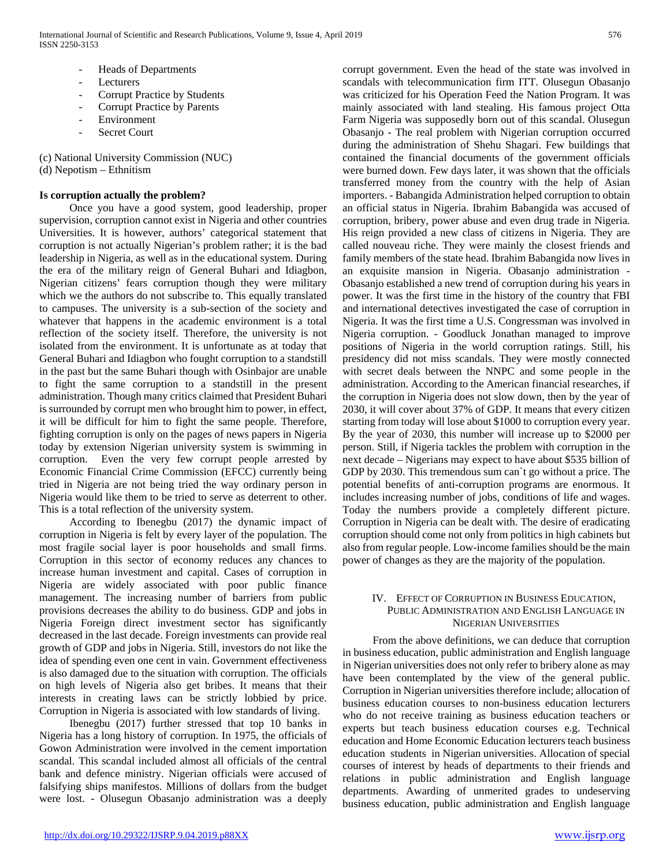- Heads of Departments
- **Lecturers**
- Corrupt Practice by Students
- Corrupt Practice by Parents
- **Environment**
- Secret Court

(c) National University Commission (NUC)

(d) Nepotism – Ethnitism

## **Is corruption actually the problem?**

Once you have a good system, good leadership, proper supervision, corruption cannot exist in Nigeria and other countries Universities. It is however, authors' categorical statement that corruption is not actually Nigerian's problem rather; it is the bad leadership in Nigeria, as well as in the educational system. During the era of the military reign of General Buhari and Idiagbon, Nigerian citizens' fears corruption though they were military which we the authors do not subscribe to. This equally translated to campuses. The university is a sub-section of the society and whatever that happens in the academic environment is a total reflection of the society itself. Therefore, the university is not isolated from the environment. It is unfortunate as at today that General Buhari and Idiagbon who fought corruption to a standstill in the past but the same Buhari though with Osinbajor are unable to fight the same corruption to a standstill in the present administration. Though many critics claimed that President Buhari is surrounded by corrupt men who brought him to power, in effect, it will be difficult for him to fight the same people. Therefore, fighting corruption is only on the pages of news papers in Nigeria today by extension Nigerian university system is swimming in corruption. Even the very few corrupt people arrested by Economic Financial Crime Commission (EFCC) currently being tried in Nigeria are not being tried the way ordinary person in Nigeria would like them to be tried to serve as deterrent to other. This is a total reflection of the university system.

According to Ibenegbu (2017) the dynamic impact of corruption in Nigeria is felt by every layer of the population. The most fragile social layer is poor households and small firms. Corruption in this sector of economy reduces any chances to increase human investment and capital. Cases of corruption in Nigeria are widely associated with poor public finance management. The increasing number of barriers from public provisions decreases the ability to do business. GDP and jobs in Nigeria Foreign direct investment sector has significantly decreased in the last decade. Foreign investments can provide real growth of GDP and jobs in Nigeria. Still, investors do not like the idea of spending even one cent in vain. Government effectiveness is also damaged due to the situation with corruption. The officials on high levels of Nigeria also get bribes. It means that their interests in creating laws can be strictly lobbied by price. Corruption in Nigeria is associated with low standards of living.

Ibenegbu (2017) further stressed that top 10 banks in Nigeria has a long history of corruption. In 1975, the officials of Gowon Administration were involved in the cement importation scandal. This scandal included almost all officials of the central bank and defence ministry. Nigerian officials were accused of falsifying ships manifestos. Millions of dollars from the budget were lost. - Olusegun Obasanjo administration was a deeply

corrupt government. Even the head of the state was involved in scandals with telecommunication firm ITT. Olusegun Obasanjo was criticized for his Operation Feed the Nation Program. It was mainly associated with land stealing. His famous project Otta Farm Nigeria was supposedly born out of this scandal. Olusegun Obasanjo - The real problem with Nigerian corruption occurred during the administration of Shehu Shagari. Few buildings that contained the financial documents of the government officials were burned down. Few days later, it was shown that the officials transferred money from the country with the help of Asian importers. - Babangida Administration helped corruption to obtain an official status in Nigeria. Ibrahim Babangida was accused of corruption, bribery, power abuse and even drug trade in Nigeria. His reign provided a new class of citizens in Nigeria. They are called nouveau riche. They were mainly the closest friends and family members of the state head. Ibrahim Babangida now lives in an exquisite mansion in Nigeria. Obasanjo administration - Obasanjo established a new trend of corruption during his years in power. It was the first time in the history of the country that FBI and international detectives investigated the case of corruption in Nigeria. It was the first time a U.S. Congressman was involved in Nigeria corruption. - Goodluck Jonathan managed to improve positions of Nigeria in the world corruption ratings. Still, his presidency did not miss scandals. They were mostly connected with secret deals between the NNPC and some people in the administration. According to the American financial researches, if the corruption in Nigeria does not slow down, then by the year of 2030, it will cover about 37% of GDP. It means that every citizen starting from today will lose about \$1000 to corruption every year. By the year of 2030, this number will increase up to \$2000 per person. Still, if Nigeria tackles the problem with corruption in the next decade – Nigerians may expect to have about \$535 billion of GDP by 2030. This tremendous sum can`t go without a price. The potential benefits of anti-corruption programs are enormous. It includes increasing number of jobs, conditions of life and wages. Today the numbers provide a completely different picture. Corruption in Nigeria can be dealt with. The desire of eradicating corruption should come not only from politics in high cabinets but also from regular people. Low-income families should be the main power of changes as they are the majority of the population.

## IV. EFFECT OF CORRUPTION IN BUSINESS EDUCATION, PUBLIC ADMINISTRATION AND ENGLISH LANGUAGE IN NIGERIAN UNIVERSITIES

From the above definitions, we can deduce that corruption in business education, public administration and English language in Nigerian universities does not only refer to bribery alone as may have been contemplated by the view of the general public. Corruption in Nigerian universities therefore include; allocation of business education courses to non-business education lecturers who do not receive training as business education teachers or experts but teach business education courses e.g. Technical education and Home Economic Education lecturers teach business education students in Nigerian universities. Allocation of special courses of interest by heads of departments to their friends and relations in public administration and English language departments. Awarding of unmerited grades to undeserving business education, public administration and English language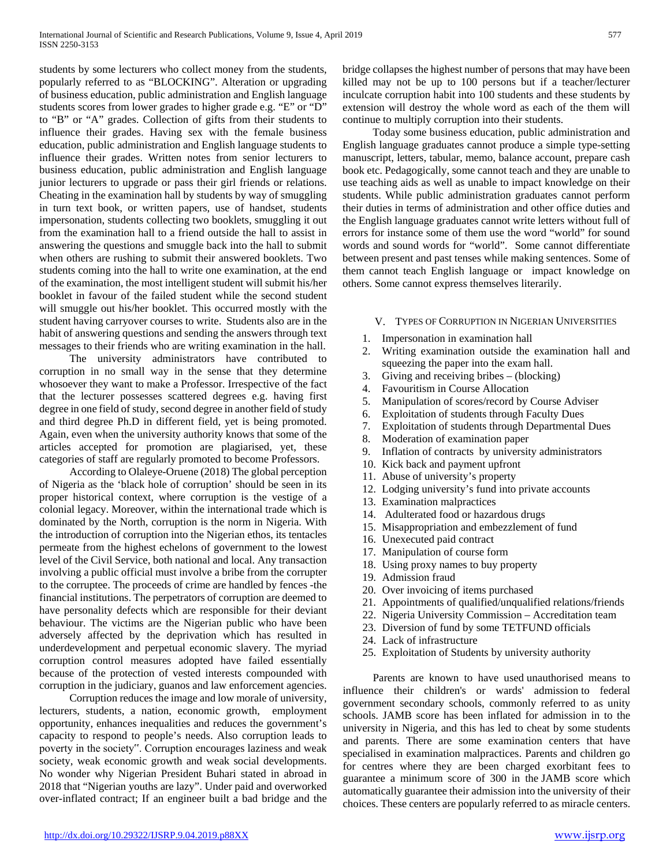students by some lecturers who collect money from the students, popularly referred to as "BLOCKING". Alteration or upgrading of business education, public administration and English language students scores from lower grades to higher grade e.g. "E" or "D" to "B" or "A" grades. Collection of gifts from their students to influence their grades. Having sex with the female business education, public administration and English language students to influence their grades. Written notes from senior lecturers to business education, public administration and English language junior lecturers to upgrade or pass their girl friends or relations. Cheating in the examination hall by students by way of smuggling in turn text book, or written papers, use of handset, students impersonation, students collecting two booklets, smuggling it out from the examination hall to a friend outside the hall to assist in answering the questions and smuggle back into the hall to submit when others are rushing to submit their answered booklets. Two students coming into the hall to write one examination, at the end of the examination, the most intelligent student will submit his/her booklet in favour of the failed student while the second student will smuggle out his/her booklet. This occurred mostly with the student having carryover courses to write. Students also are in the habit of answering questions and sending the answers through text messages to their friends who are writing examination in the hall.

The university administrators have contributed to corruption in no small way in the sense that they determine whosoever they want to make a Professor. Irrespective of the fact that the lecturer possesses scattered degrees e.g. having first degree in one field of study, second degree in another field of study and third degree Ph.D in different field, yet is being promoted. Again, even when the university authority knows that some of the articles accepted for promotion are plagiarised, yet, these categories of staff are regularly promoted to become Professors.

According to Olaleye-Oruene (2018) The global perception of Nigeria as the 'black hole of corruption' should be seen in its proper historical context, where corruption is the vestige of a colonial legacy. Moreover, within the international trade which is dominated by the North, corruption is the norm in Nigeria. With the introduction of corruption into the Nigerian ethos, its tentacles permeate from the highest echelons of government to the lowest level of the Civil Service, both national and local. Any transaction involving a public official must involve a bribe from the corrupter to the corruptee. The proceeds of crime are handled by fences -the financial institutions. The perpetrators of corruption are deemed to have personality defects which are responsible for their deviant behaviour. The victims are the Nigerian public who have been adversely affected by the deprivation which has resulted in underdevelopment and perpetual economic slavery. The myriad corruption control measures adopted have failed essentially because of the protection of vested interests compounded with corruption in the judiciary, guanos and law enforcement agencies.

Corruption reduces the image and low morale of university, lecturers, students, a nation, economic growth, employment opportunity, enhances inequalities and reduces the government's capacity to respond to people's needs. Also corruption leads to poverty in the society". Corruption encourages laziness and weak society, weak economic growth and weak social developments. No wonder why Nigerian President Buhari stated in abroad in 2018 that "Nigerian youths are lazy". Under paid and overworked over-inflated contract; If an engineer built a bad bridge and the

bridge collapses the highest number of persons that may have been killed may not be up to 100 persons but if a teacher/lecturer inculcate corruption habit into 100 students and these students by extension will destroy the whole word as each of the them will continue to multiply corruption into their students.

Today some business education, public administration and English language graduates cannot produce a simple type-setting manuscript, letters, tabular, memo, balance account, prepare cash book etc. Pedagogically, some cannot teach and they are unable to use teaching aids as well as unable to impact knowledge on their students. While public administration graduates cannot perform their duties in terms of administration and other office duties and the English language graduates cannot write letters without full of errors for instance some of them use the word "world" for sound words and sound words for "world". Some cannot differentiate between present and past tenses while making sentences. Some of them cannot teach English language or impact knowledge on others. Some cannot express themselves literarily.

## V. TYPES OF CORRUPTION IN NIGERIAN UNIVERSITIES

- 1. Impersonation in examination hall
- 2. Writing examination outside the examination hall and squeezing the paper into the exam hall.
- 3. Giving and receiving bribes (blocking)
- 4. Favouritism in Course Allocation
- 5. Manipulation of scores/record by Course Adviser
- 6. Exploitation of students through Faculty Dues
- 7. Exploitation of students through Departmental Dues
- 8. Moderation of examination paper
- 9. Inflation of contracts by university administrators
- 10. Kick back and payment upfront
- 11. Abuse of university's property
- 12. Lodging university's fund into private accounts
- 13. Examination malpractices
- 14. Adulterated food or hazardous drugs
- 15. Misappropriation and embezzlement of fund
- 16. Unexecuted paid contract
- 17. Manipulation of course form
- 18. Using proxy names to buy property
- 19. Admission fraud
- 20. Over invoicing of items purchased
- 21. Appointments of qualified/unqualified relations/friends
- 22. Nigeria University Commission Accreditation team
- 23. Diversion of fund by some TETFUND officials
- 24. Lack of infrastructure
- 25. Exploitation of Students by university authority

Parents are known to have used unauthorised means to influence their children's or wards' admission to federal government secondary schools, commonly referred to as unity schools. JAMB score has been inflated for admission in to the university in Nigeria, and this has led to cheat by some students and parents. There are some examination centers that have specialised in examination malpractices. Parents and children go for centres where they are been charged exorbitant fees to guarantee a minimum score of 300 in the JAMB score which automatically guarantee their admission into the university of their choices. These centers are popularly referred to as miracle centers.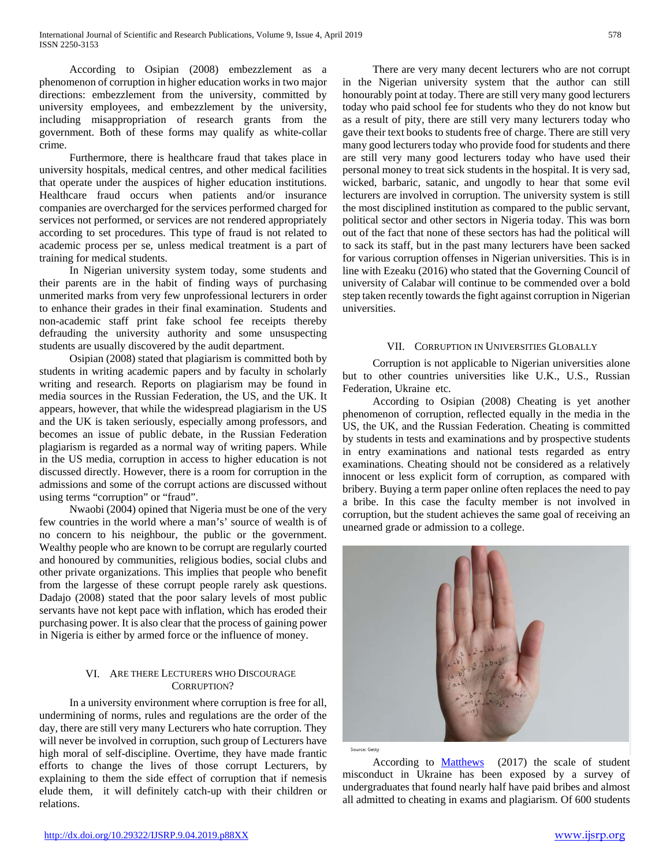According to Osipian (2008) embezzlement as a phenomenon of corruption in higher education works in two major directions: embezzlement from the university, committed by university employees, and embezzlement by the university, including misappropriation of research grants from the government. Both of these forms may qualify as white-collar crime.

Furthermore, there is healthcare fraud that takes place in university hospitals, medical centres, and other medical facilities that operate under the auspices of higher education institutions. Healthcare fraud occurs when patients and/or insurance companies are overcharged for the services performed charged for services not performed, or services are not rendered appropriately according to set procedures. This type of fraud is not related to academic process per se, unless medical treatment is a part of training for medical students.

In Nigerian university system today, some students and their parents are in the habit of finding ways of purchasing unmerited marks from very few unprofessional lecturers in order to enhance their grades in their final examination. Students and non-academic staff print fake school fee receipts thereby defrauding the university authority and some unsuspecting students are usually discovered by the audit department.

Osipian (2008) stated that plagiarism is committed both by students in writing academic papers and by faculty in scholarly writing and research. Reports on plagiarism may be found in media sources in the Russian Federation, the US, and the UK. It appears, however, that while the widespread plagiarism in the US and the UK is taken seriously, especially among professors, and becomes an issue of public debate, in the Russian Federation plagiarism is regarded as a normal way of writing papers. While in the US media, corruption in access to higher education is not discussed directly. However, there is a room for corruption in the admissions and some of the corrupt actions are discussed without using terms "corruption" or "fraud".

Nwaobi (2004) opined that Nigeria must be one of the very few countries in the world where a man's' source of wealth is of no concern to his neighbour, the public or the government. Wealthy people who are known to be corrupt are regularly courted and honoured by communities, religious bodies, social clubs and other private organizations. This implies that people who benefit from the largesse of these corrupt people rarely ask questions. Dadajo (2008) stated that the poor salary levels of most public servants have not kept pace with inflation, which has eroded their purchasing power. It is also clear that the process of gaining power in Nigeria is either by armed force or the influence of money.

## VI. ARE THERE LECTURERS WHO DISCOURAGE CORRUPTION?

In a university environment where corruption is free for all, undermining of norms, rules and regulations are the order of the day, there are still very many Lecturers who hate corruption. They will never be involved in corruption, such group of Lecturers have high moral of self-discipline. Overtime, they have made frantic efforts to change the lives of those corrupt Lecturers, by explaining to them the side effect of corruption that if nemesis elude them, it will definitely catch-up with their children or relations.

There are very many decent lecturers who are not corrupt in the Nigerian university system that the author can still honourably point at today. There are still very many good lecturers today who paid school fee for students who they do not know but as a result of pity, there are still very many lecturers today who gave their text books to students free of charge. There are still very many good lecturers today who provide food for students and there are still very many good lecturers today who have used their personal money to treat sick students in the hospital. It is very sad, wicked, barbaric, satanic, and ungodly to hear that some evil lecturers are involved in corruption. The university system is still the most disciplined institution as compared to the public servant, political sector and other sectors in Nigeria today. This was born out of the fact that none of these sectors has had the political will to sack its staff, but in the past many lecturers have been sacked for various corruption offenses in Nigerian universities. This is in line with Ezeaku (2016) who stated that the Governing Council of university of Calabar will continue to be commended over a bold step taken recently towards the fight against corruption in Nigerian universities.

## VII. CORRUPTION IN UNIVERSITIES GLOBALLY

Corruption is not applicable to Nigerian universities alone but to other countries universities like U.K., U.S., Russian Federation, Ukraine etc.

According to Osipian (2008) Cheating is yet another phenomenon of corruption, reflected equally in the media in the US, the UK, and the Russian Federation. Cheating is committed by students in tests and examinations and by prospective students in entry examinations and national tests regarded as entry examinations. Cheating should not be considered as a relatively innocent or less explicit form of corruption, as compared with bribery. Buying a term paper online often replaces the need to pay a bribe. In this case the faculty member is not involved in corruption, but the student achieves the same goal of receiving an unearned grade or admission to a college.



Source: Getty

According to [Matthews](https://www.timeshighereducation.com/author/david-matthews) (2017) the scale of student misconduct in Ukraine has been exposed by a survey of undergraduates that found nearly half have paid bribes and almost all admitted to cheating in exams and plagiarism. Of 600 students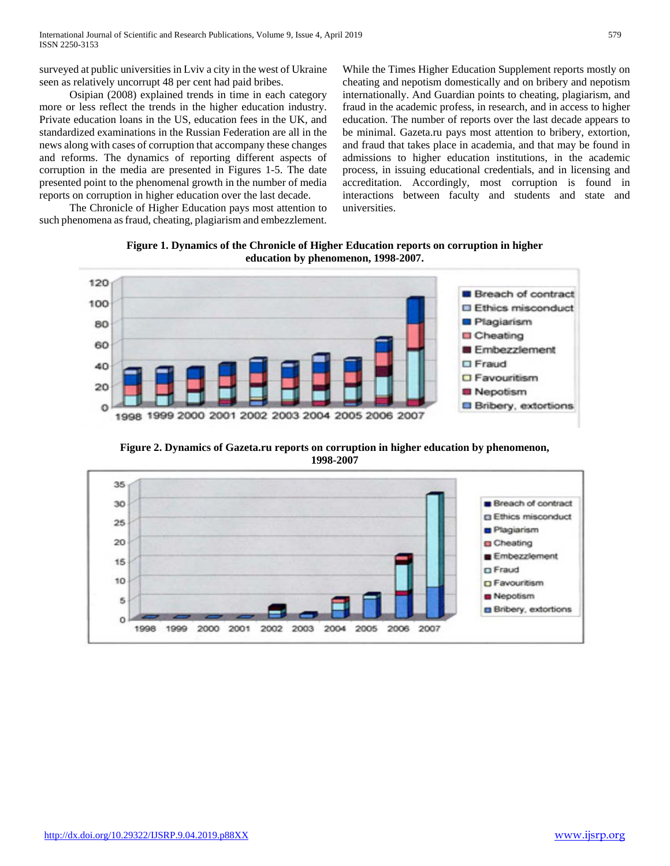surveyed at public universities in Lviv a city in the west of Ukraine seen as relatively uncorrupt 48 per cent had paid bribes.

Osipian (2008) explained trends in time in each category more or less reflect the trends in the higher education industry. Private education loans in the US, education fees in the UK, and standardized examinations in the Russian Federation are all in the news along with cases of corruption that accompany these changes and reforms. The dynamics of reporting different aspects of corruption in the media are presented in Figures 1-5. The date presented point to the phenomenal growth in the number of media reports on corruption in higher education over the last decade.

The Chronicle of Higher Education pays most attention to such phenomena as fraud, cheating, plagiarism and embezzlement.

While the Times Higher Education Supplement reports mostly on cheating and nepotism domestically and on bribery and nepotism internationally. And Guardian points to cheating, plagiarism, and fraud in the academic profess, in research, and in access to higher education. The number of reports over the last decade appears to be minimal. Gazeta.ru pays most attention to bribery, extortion, and fraud that takes place in academia, and that may be found in admissions to higher education institutions, in the academic process, in issuing educational credentials, and in licensing and accreditation. Accordingly, most corruption is found in interactions between faculty and students and state and universities.

**Figure 1. Dynamics of the Chronicle of Higher Education reports on corruption in higher education by phenomenon, 1998-2007.**



**Figure 2. Dynamics of Gazeta.ru reports on corruption in higher education by phenomenon, 1998-2007**

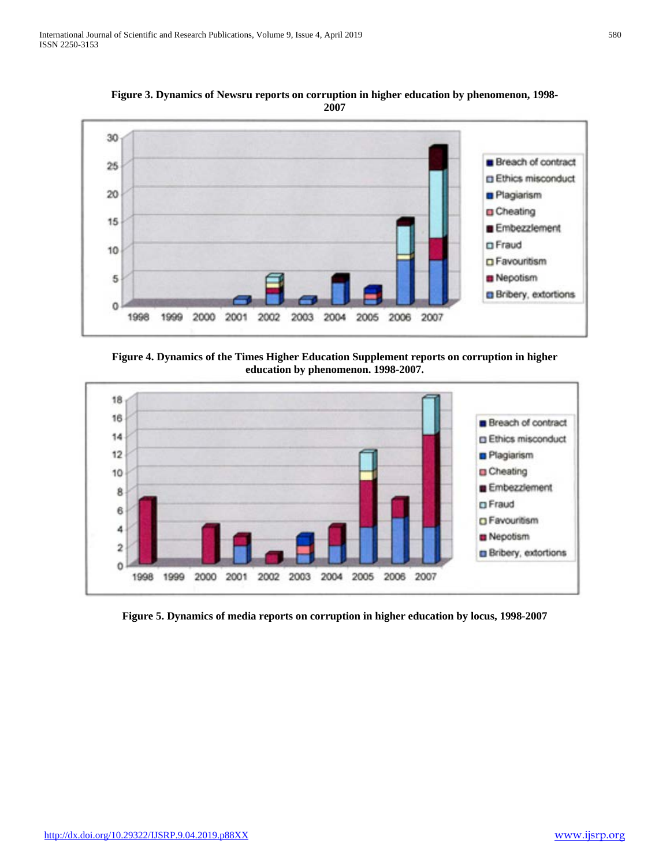**Figure 3. Dynamics of Newsru reports on corruption in higher education by phenomenon, 1998- 2007**



**Figure 4. Dynamics of the Times Higher Education Supplement reports on corruption in higher education by phenomenon. 1998-2007.**



**Figure 5. Dynamics of media reports on corruption in higher education by locus, 1998-2007**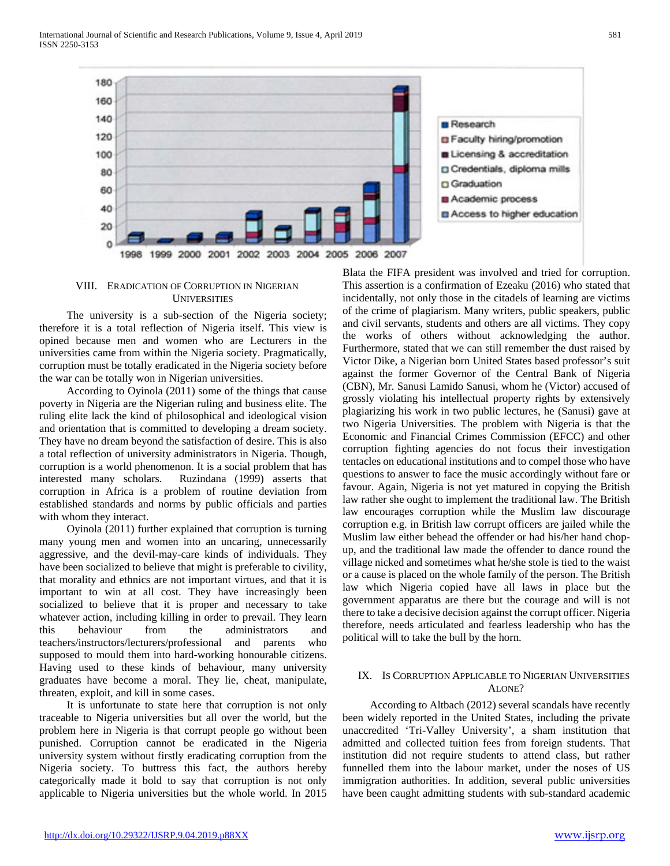

#### VIII. ERADICATION OF CORRUPTION IN NIGERIAN **UNIVERSITIES**

 The university is a sub-section of the Nigeria society; therefore it is a total reflection of Nigeria itself. This view is opined because men and women who are Lecturers in the universities came from within the Nigeria society. Pragmatically, corruption must be totally eradicated in the Nigeria society before the war can be totally won in Nigerian universities.

 According to Oyinola (2011) some of the things that cause poverty in Nigeria are the Nigerian ruling and business elite. The ruling elite lack the kind of philosophical and ideological vision and orientation that is committed to developing a dream society. They have no dream beyond the satisfaction of desire. This is also a total reflection of university administrators in Nigeria. Though, corruption is a world phenomenon. It is a social problem that has interested many scholars. Ruzindana (1999) asserts that corruption in Africa is a problem of routine deviation from established standards and norms by public officials and parties with whom they interact.

 Oyinola (2011) further explained that corruption is turning many young men and women into an uncaring, unnecessarily aggressive, and the devil-may-care kinds of individuals. They have been socialized to believe that might is preferable to civility, that morality and ethnics are not important virtues, and that it is important to win at all cost. They have increasingly been socialized to believe that it is proper and necessary to take whatever action, including killing in order to prevail. They learn this behaviour from the administrators and teachers/instructors/lecturers/professional and parents who supposed to mould them into hard-working honourable citizens. Having used to these kinds of behaviour, many university graduates have become a moral. They lie, cheat, manipulate, threaten, exploit, and kill in some cases.

 It is unfortunate to state here that corruption is not only traceable to Nigeria universities but all over the world, but the problem here in Nigeria is that corrupt people go without been punished. Corruption cannot be eradicated in the Nigeria university system without firstly eradicating corruption from the Nigeria society. To buttress this fact, the authors hereby categorically made it bold to say that corruption is not only applicable to Nigeria universities but the whole world. In 2015

Blata the FIFA president was involved and tried for corruption. This assertion is a confirmation of Ezeaku (2016) who stated that incidentally, not only those in the citadels of learning are victims of the crime of plagiarism. Many writers, public speakers, public and civil servants, students and others are all victims. They copy the works of others without acknowledging the author. Furthermore, stated that we can still remember the dust raised by Victor Dike, a Nigerian born United States based professor's suit against the former Governor of the Central Bank of Nigeria (CBN), Mr. Sanusi Lamido Sanusi, whom he (Victor) accused of grossly violating his intellectual property rights by extensively plagiarizing his work in two public lectures, he (Sanusi) gave at two Nigeria Universities. The problem with Nigeria is that the Economic and Financial Crimes Commission (EFCC) and other corruption fighting agencies do not focus their investigation tentacles on educational institutions and to compel those who have questions to answer to face the music accordingly without fare or favour. Again, Nigeria is not yet matured in copying the British law rather she ought to implement the traditional law. The British law encourages corruption while the Muslim law discourage corruption e.g. in British law corrupt officers are jailed while the Muslim law either behead the offender or had his/her hand chopup, and the traditional law made the offender to dance round the village nicked and sometimes what he/she stole is tied to the waist or a cause is placed on the whole family of the person. The British law which Nigeria copied have all laws in place but the government apparatus are there but the courage and will is not there to take a decisive decision against the corrupt officer. Nigeria therefore, needs articulated and fearless leadership who has the political will to take the bull by the horn.

## IX. IS CORRUPTION APPLICABLE TO NIGERIAN UNIVERSITIES ALONE?

 According to Altbach (2012) several scandals have recently been widely reported in the United States, including the private unaccredited 'Tri-Valley University', a sham institution that admitted and collected tuition fees from foreign students. That institution did not require students to attend class, but rather funnelled them into the labour market, under the noses of US immigration authorities. In addition, several public universities have been caught admitting students with sub-standard academic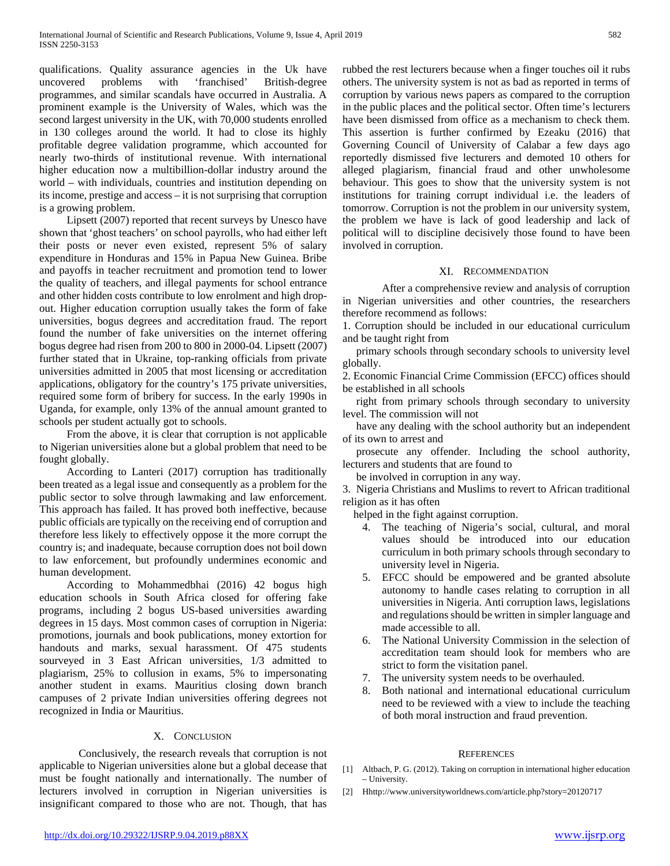qualifications. Quality assurance agencies in the Uk have uncovered problems with 'franchised' British-degree programmes, and similar scandals have occurred in Australia. A prominent example is the University of Wales, which was the second largest university in the UK, with 70,000 students enrolled in 130 colleges around the world. It had to close its highly profitable degree validation programme, which accounted for nearly two-thirds of institutional revenue. With international higher education now a multibillion-dollar industry around the world – with individuals, countries and institution depending on its income, prestige and access – it is not surprising that corruption is a growing problem.

 Lipsett (2007) reported that recent surveys by Unesco have shown that 'ghost teachers' on school payrolls, who had either left their posts or never even existed, represent 5% of salary expenditure in Honduras and 15% in Papua New Guinea. Bribe and payoffs in teacher recruitment and promotion tend to lower the quality of teachers, and illegal payments for school entrance and other hidden costs contribute to low enrolment and high dropout. Higher education corruption usually takes the form of fake universities, bogus degrees and accreditation fraud. The report found the number of fake universities on the internet offering bogus degree had risen from 200 to 800 in 2000-04. Lipsett (2007) further stated that in Ukraine, top-ranking officials from private universities admitted in 2005 that most licensing or accreditation applications, obligatory for the country's 175 private universities, required some form of bribery for success. In the early 1990s in Uganda, for example, only 13% of the annual amount granted to schools per student actually got to schools.

 From the above, it is clear that corruption is not applicable to Nigerian universities alone but a global problem that need to be fought globally.

 According to Lanteri (2017) corruption has traditionally been treated as a legal issue and consequently as a problem for the public sector to solve through lawmaking and law enforcement. This approach has failed. It has proved both ineffective, because public officials are typically on the receiving end of corruption and therefore less likely to effectively oppose it the more corrupt the country is; and inadequate, because corruption does not boil down to law enforcement, but profoundly undermines economic and human development.

 According to Mohammedbhai (2016) 42 bogus high education schools in South Africa closed for offering fake programs, including 2 bogus US-based universities awarding degrees in 15 days. Most common cases of corruption in Nigeria: promotions, journals and book publications, money extortion for handouts and marks, sexual harassment. Of 475 students sourveyed in 3 East African universities,  $1/3$  admitted to plagiarism, 25% to collusion in exams, 5% to impersonating another student in exams. Mauritius closing down branch campuses of 2 private Indian universities offering degrees not recognized in India or Mauritius.

## X. CONCLUSION

Conclusively, the research reveals that corruption is not applicable to Nigerian universities alone but a global decease that must be fought nationally and internationally. The number of lecturers involved in corruption in Nigerian universities is insignificant compared to those who are not. Though, that has

rubbed the rest lecturers because when a finger touches oil it rubs others. The university system is not as bad as reported in terms of corruption by various news papers as compared to the corruption in the public places and the political sector. Often time's lecturers have been dismissed from office as a mechanism to check them. This assertion is further confirmed by Ezeaku (2016) that Governing Council of University of Calabar a few days ago reportedly dismissed five lecturers and demoted 10 others for alleged plagiarism, financial fraud and other unwholesome behaviour. This goes to show that the university system is not institutions for training corrupt individual i.e. the leaders of tomorrow. Corruption is not the problem in our university system, the problem we have is lack of good leadership and lack of political will to discipline decisively those found to have been involved in corruption.

## XI. RECOMMENDATION

After a comprehensive review and analysis of corruption in Nigerian universities and other countries, the researchers therefore recommend as follows:

1. Corruption should be included in our educational curriculum and be taught right from

 primary schools through secondary schools to university level globally.

2. Economic Financial Crime Commission (EFCC) offices should be established in all schools

 right from primary schools through secondary to university level. The commission will not

 have any dealing with the school authority but an independent of its own to arrest and

 prosecute any offender. Including the school authority, lecturers and students that are found to

be involved in corruption in any way.

3. Nigeria Christians and Muslims to revert to African traditional religion as it has often

helped in the fight against corruption.

- 4. The teaching of Nigeria's social, cultural, and moral values should be introduced into our education curriculum in both primary schools through secondary to university level in Nigeria.
- 5. EFCC should be empowered and be granted absolute autonomy to handle cases relating to corruption in all universities in Nigeria. Anti corruption laws, legislations and regulations should be written in simpler language and made accessible to all.
- The National University Commission in the selection of accreditation team should look for members who are strict to form the visitation panel.
- 7. The university system needs to be overhauled.
- Both national and international educational curriculum need to be reviewed with a view to include the teaching of both moral instruction and fraud prevention.

## **REFERENCES**

- [1] Altbach, P. G. (2012). Taking on corruption in international higher education – University.
- [2] Hhttp://www.universityworldnews.com/article.php?story=20120717